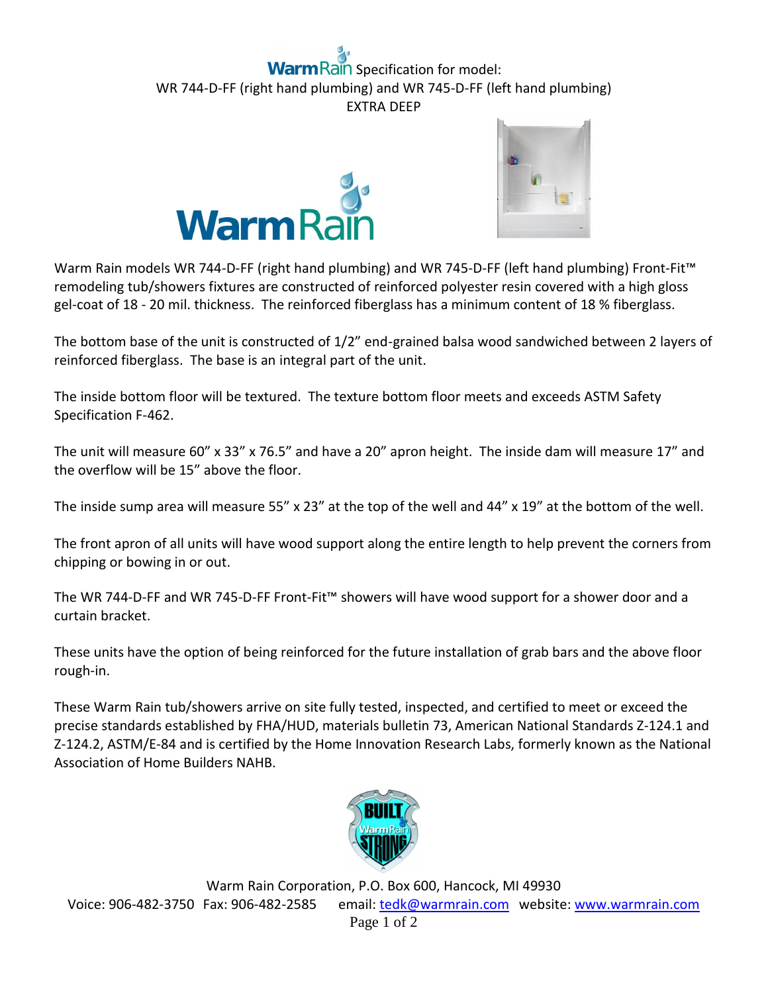## **Rain** Specification for model: WR 744-D-FF (right hand plumbing) and WR 745-D-FF (left hand plumbing) EXTRA DEEP





Warm Rain models WR 744-D-FF (right hand plumbing) and WR 745-D-FF (left hand plumbing) Front-Fit™ remodeling tub/showers fixtures are constructed of reinforced polyester resin covered with a high gloss gel-coat of 18 - 20 mil. thickness. The reinforced fiberglass has a minimum content of 18 % fiberglass.

The bottom base of the unit is constructed of 1/2" end-grained balsa wood sandwiched between 2 layers of reinforced fiberglass. The base is an integral part of the unit.

The inside bottom floor will be textured. The texture bottom floor meets and exceeds ASTM Safety Specification F-462.

The unit will measure 60" x 33" x 76.5" and have a 20" apron height. The inside dam will measure 17" and the overflow will be 15" above the floor.

The inside sump area will measure 55" x 23" at the top of the well and 44" x 19" at the bottom of the well.

The front apron of all units will have wood support along the entire length to help prevent the corners from chipping or bowing in or out.

The WR 744-D-FF and WR 745-D-FF Front-Fit™ showers will have wood support for a shower door and a curtain bracket.

These units have the option of being reinforced for the future installation of grab bars and the above floor rough-in.

These Warm Rain tub/showers arrive on site fully tested, inspected, and certified to meet or exceed the precise standards established by FHA/HUD, materials bulletin 73, American National Standards Z-124.1 and Z-124.2, ASTM/E-84 and is certified by the Home Innovation Research Labs, formerly known as the National Association of Home Builders NAHB.